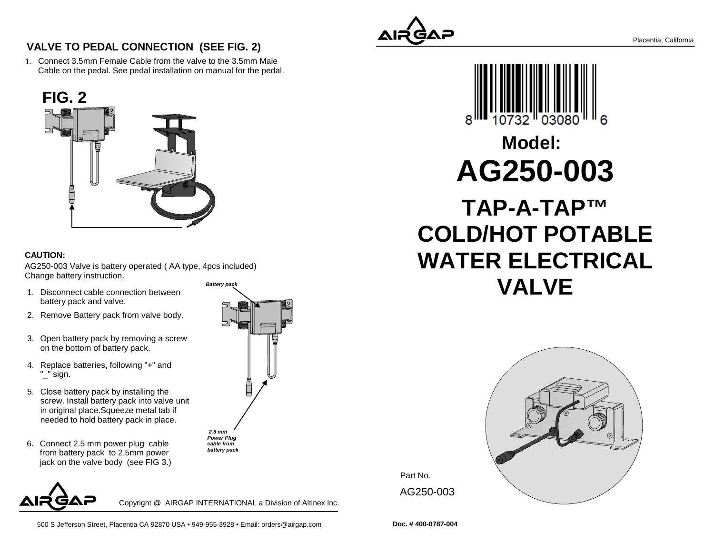

1.Connect 3.5mm Female Cable from the valve to the 3.5mm MaleCable on the pedal. See pedal installation on manual for the pedal.



## **CAUTION:**

AG250-003 Valve is battery operated ( AA type, 4pcs included) Change battery instruction.**Battery pack**

- 1. Disconnect cable connection between battery pack and valve.
- 2. Remove Battery pack from valve body.
- 3. Open battery pack by removing a screw on the bottom of battery pack.
- 4. Replace batteries, following "+" and "\_" sign.
- 5. Close battery pack by installing the screw. Install battery pack into valve unitin original place.Squeeze metal tab ifneeded to hold battery pack in place.
- 6. Connect 2.5 mm power plug cable from battery pack to 2.5mm powerjack on the valve body (see FIG 3.)



Copyright @ AIRGAP INTERNATIONAL a Division of Altinex Inc.

 **2.5 mm Power Plug cable frombattery pack**   $\Box$ 





## **AG250-003Model:**

**TAP-A-TAP™ COLD/HOT POTABLE WATER ELECTRICALVALVE**



Part No. AG250-003